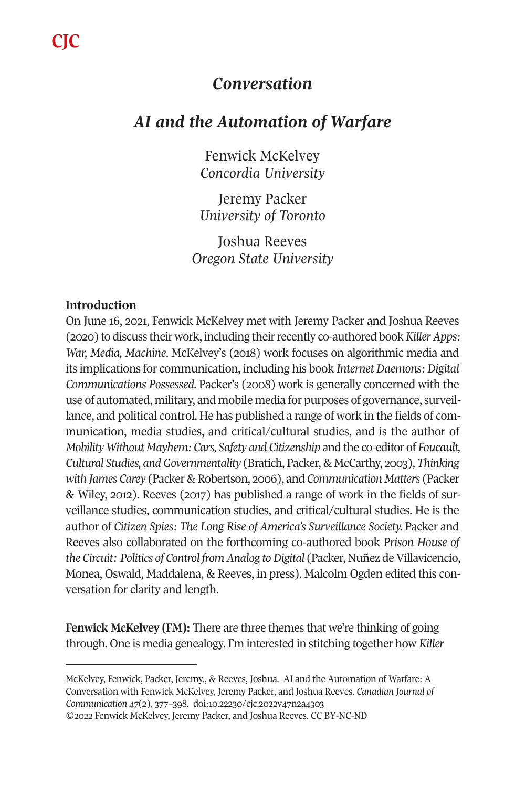**CJC**

## *Conversation*

# *AI and the Automation of Warfare*

Fenwick McKelvey *Concordia University* 

Jeremy Packer *University of Toronto* 

Joshua Reeves *Oregon State University* 

### **Introduction**

On June 16, 2021, Fenwick McKelvey met with Jeremy Packer and Joshua Reeves (2020) to discuss their work, including their recently co-authored book *Killer Apps: War, Media, Machine*. McKelvey's (2018) work focuses on algorithmic media and its implications for communication, including his book *Internet Daemons: Digital Communications Possessed.* Packer's (2008) work is generally concerned with the use of automated, military, and mobile media for purposes of governance, surveillance, and political control. He has published a range of work in the fields of communication, media studies, and critical/cultural studies, and is the author of *Mobility Without Mayhem: Cars, Safety and Citizenship* and the co-editor of *Foucault, Cultural Studies, and Governmentality* (Bratich, Packer, & McCarthy, 2003), *Thinking with James Carey* (Packer & Robertson, 2006), and *Communication Matters* (Packer & Wiley, 2012). Reeves (2017) has published a range of work in the fields of surveillance studies, communication studies, and critical/cultural studies. He is the author of *Citizen Spies: The L[ong Rise of America's Sur](https://doi.org/10.22230/cjc.2022v47n2a4303)veillance Society.* Packer and Reeves also collaborated on the forthcoming co-authored book *Prison House of the Circuit: Politics of Control from Analog to Digital* (Packer, Nuñez de Villavicencio, Monea, Oswald, Maddalena, & Reeves, in press). Malcolm Ogden edited this conversation for clarity and length.

**Fenwick McKelvey (FM):** There are three themes that we're thinking of going through. One is media genealogy. I'm interested in stitching together how *Killer* 

McKelvey, Fenwick, Packer, Jeremy., & Reeves, Joshua. AI and the Automation of Warfare: A Conversation with Fenwick McKelvey, Jeremy Packer, and Joshua Reeves. *Canadian Journal of Communication 47*(2), 377–398. doi:10.22230/cjc.2022v47n2a4303 ©2022 Fenwick McKelvey, Jeremy Packer, and Joshua Reeves. CC BY-NC-ND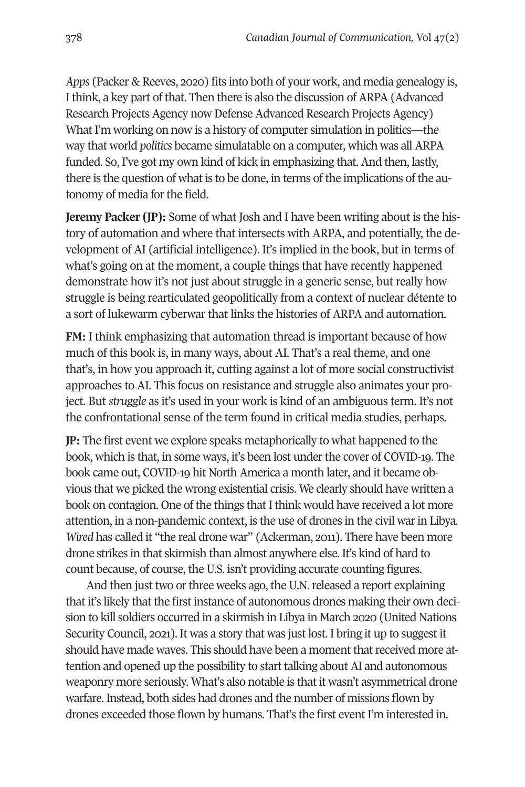*Apps* (Packer & Reeves, 2020) fits into both of your work, and media genealogy is, I think, a key part of that. Then there is also the discussion of ARPA (Advanced Research Projects Agency now Defense Advanced Research Projects Agency) What I'm working on now is a history of computer simulation in politics—the way that world *politics* became simulatable on a computer, which was all ARPA funded. So, I've got my own kind of kick in emphasizing that. And then, lastly, there is the question of what is to be done, in terms of the implications of the autonomy of media for the field.

**Jeremy Packer (JP):** Some of what Josh and I have been writing about is the history of automation and where that intersects with ARPA, and potentially, the development of AI (artificial intelligence). It's implied in the book, but in terms of what's going on at the moment, a couple things that have recently happened demonstrate how it's not just about struggle in a generic sense, but really how struggle is being rearticulated geopolitically from a context of nuclear détente to a sort of lukewarm cyberwar that links the histories of ARPA and automation.

**FM:** I think emphasizing that automation thread is important because of how much of this book is, in many ways, about AI. That's a real theme, and one that's, in how you approach it, cutting against a lot of more social constructivist approaches to AI. This focus on resistance and struggle also animates your project. But *struggle* as it's used in your work is kind of an ambiguous term. It's not the confrontational sense of the term found in critical media studies, perhaps.

**JP:** The first event we explore speaks metaphorically to what happened to the book, which is that, in some ways, it's been lost under the cover of COVID-19. The book came out, COVID-19 hit North America a month later, and it became obvious that we picked the wrong existential crisis. We clearly should have written a book on contagion. One of the things that I think would have received a lot more attention, in a non-pandemic context, is the use of drones in the civil war in Libya. *Wired* has called it "the real drone war" (Ackerman, 2011). There have been more drone strikes in that skirmish than almost anywhere else. It's kind of hard to count because, of course, the U.S. isn't providing accurate counting figures.

And then just two or three weeks ago, the U.N. released a report explaining that it's likely that the first instance of autonomous drones making their own decision to kill soldiers occurred in a skirmish in Libya in March 2020 (United Nations Security Council, 2021). It was a story that was just lost. I bring it up to suggest it should have made waves. This should have been a moment that received more attention and opened up the possibility to start talking about AI and autonomous weaponry more seriously. What's also notable is that it wasn't asymmetrical drone warfare. Instead, both sides had drones and the number of missions flown by drones exceeded those flown by humans. That's the first event I'm interested in.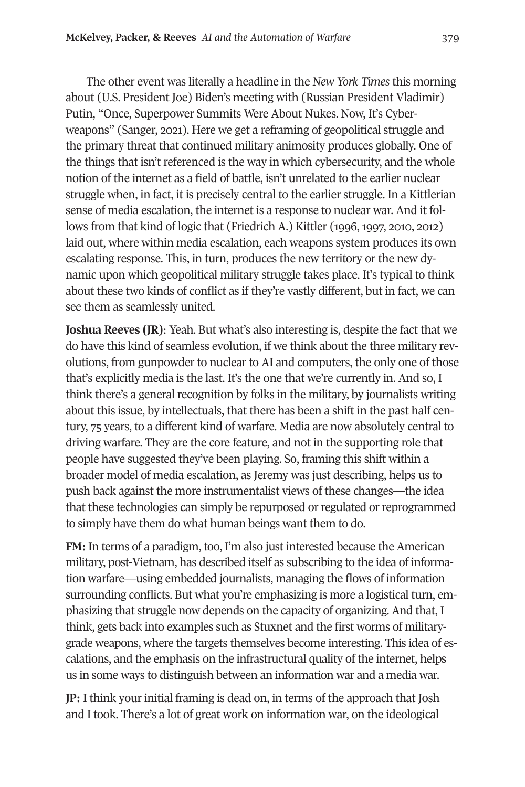The other event was literally a headline in the *New York Times* this morning about (U.S. President Joe) Biden's meeting with (Russian President Vladimir) Putin, "Once, Superpower Summits Were About Nukes. Now, It's Cyberweapons" (Sanger, 2021). Here we get a reframing of geopolitical struggle and the primary threat that continued military animosity produces globally. One of the things that isn't referenced is the way in which cybersecurity, and the whole notion of the internet as a field of battle, isn't unrelated to the earlier nuclear struggle when, in fact, it is precisely central to the earlier struggle. In a Kittlerian sense of media escalation, the internet is a response to nuclear war. And it follows from that kind of logic that (Friedrich A.) Kittler (1996, 1997, 2010, 2012) laid out, where within media escalation, each weapons system produces its own escalating response. This, in turn, produces the new territory or the new dynamic upon which geopolitical military struggle takes place. It's typical to think about these two kinds of conflict as if they're vastly different, but in fact, we can see them as seamlessly united.

**Joshua Reeves (JR)**: Yeah. But what's also interesting is, despite the fact that we do have this kind of seamless evolution, if we think about the three military revolutions, from gunpowder to nuclear to AI and computers, the only one of those that's explicitly media is the last. It's the one that we're currently in. And so, I think there's a general recognition by folks in the military, by journalists writing about this issue, by intellectuals, that there has been a shift in the past half century, 75 years, to a different kind of warfare. Media are now absolutely central to driving warfare. They are the core feature, and not in the supporting role that people have suggested they've been playing. So, framing this shift within a broader model of media escalation, as Jeremy was just describing, helps us to push back against the more instrumentalist views of these changes—the idea that these technologies can simply be repurposed or regulated or reprogrammed to simply have them do what human beings want them to do.

**FM:** In terms of a paradigm, too, I'm also just interested because the American military, post-Vietnam, has described itself as subscribing to the idea of information warfare—using embedded journalists, managing the flows of information surrounding conflicts. But what you're emphasizing is more a logistical turn, emphasizing that struggle now depends on the capacity of organizing. And that, I think, gets back into examples such as Stuxnet and the first worms of militarygrade weapons, where the targets themselves become interesting. This idea of escalations, and the emphasis on the infrastructural quality of the internet, helps us in some ways to distinguish between an information war and a media war.

**JP:** I think your initial framing is dead on, in terms of the approach that Josh and I took. There's a lot of great work on information war, on the ideological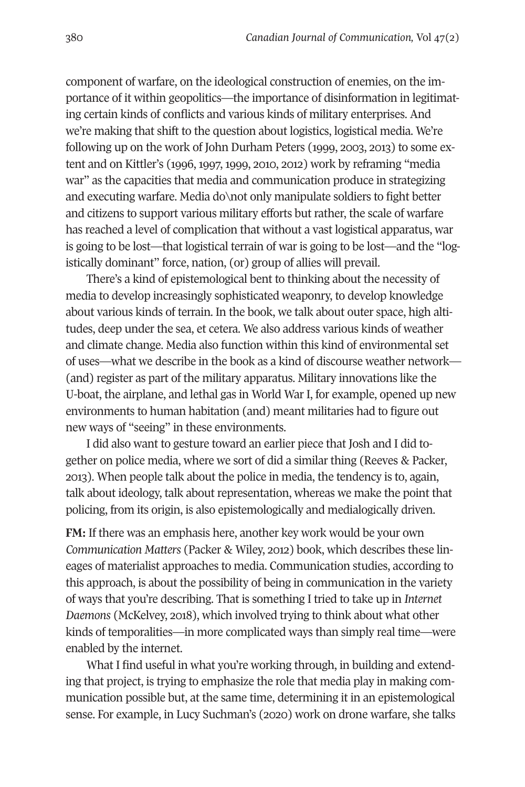component of warfare, on the ideological construction of enemies, on the importance of it within geopolitics—the importance of disinformation in legitimating certain kinds of conflicts and various kinds of military enterprises. And we're making that shift to the question about logistics, logistical media. We're following up on the work of John Durham Peters (1999, 2003, 2013) to some extent and on Kittler's (1996, 1997, 1999, 2010, 2012) work by reframing "media war" as the capacities that media and communication produce in strategizing and executing warfare. Media do\not only manipulate soldiers to fight better and citizens to support various military efforts but rather, the scale of warfare has reached a level of complication that without a vast logistical apparatus, war is going to be lost—that logistical terrain of war is going to be lost—and the "logistically dominant" force, nation, (or) group of allies will prevail.

There's a kind of epistemological bent to thinking about the necessity of media to develop increasingly sophisticated weaponry, to develop knowledge about various kinds of terrain. In the book, we talk about outer space, high altitudes, deep under the sea, et cetera. We also address various kinds of weather and climate change. Media also function within this kind of environmental set of uses—what we describe in the book as a kind of discourse weather network— (and) register as part of the military apparatus. Military innovations like the U-boat, the airplane, and lethal gas in World War I, for example, opened up new environments to human habitation (and) meant militaries had to figure out new ways of "seeing" in these environments.

I did also want to gesture toward an earlier piece that Josh and I did together on police media, where we sort of did a similar thing (Reeves & Packer, 2013). When people talk about the police in media, the tendency is to, again, talk about ideology, talk about representation, whereas we make the point that policing, from its origin, is also epistemologically and medialogically driven.

**FM:** If there was an emphasis here, another key work would be your own *Communication Matters* (Packer & Wiley, 2012) book, which describes these lineages of materialist approaches to media. Communication studies, according to this approach, is about the possibility of being in communication in the variety of ways that you're describing. That is something I tried to take up in *Internet Daemons* (McKelvey, 2018), which involved trying to think about what other kinds of temporalities—in more complicated ways than simply real time—were enabled by the internet.

What I find useful in what you're working through, in building and extending that project, is trying to emphasize the role that media play in making communication possible but, at the same time, determining it in an epistemological sense. For example, in Lucy Suchman's (2020) work on drone warfare, she talks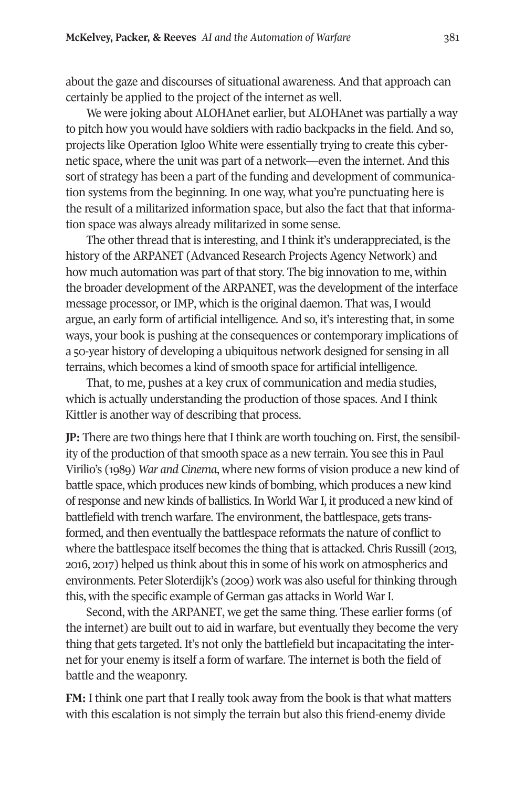about the gaze and discourses of situational awareness. And that approach can certainly be applied to the project of the internet as well.

We were joking about ALOHAnet earlier, but ALOHAnet was partially a way to pitch how you would have soldiers with radio backpacks in the field. And so, projects like Operation Igloo White were essentially trying to create this cybernetic space, where the unit was part of a network—even the internet. And this sort of strategy has been a part of the funding and development of communication systems from the beginning. In one way, what you're punctuating here is the result of a militarized information space, but also the fact that that information space was always already militarized in some sense.

The other thread that is interesting, and I think it's underappreciated, is the history of the ARPANET (Advanced Research Projects Agency Network) and how much automation was part of that story. The big innovation to me, within the broader development of the ARPANET, was the development of the interface message processor, or IMP, which is the original daemon. That was, I would argue, an early form of artificial intelligence. And so, it's interesting that, in some ways, your book is pushing at the consequences or contemporary implications of a 50-year history of developing a ubiquitous network designed for sensing in all terrains, which becomes a kind of smooth space for artificial intelligence.

That, to me, pushes at a key crux of communication and media studies, which is actually understanding the production of those spaces. And I think Kittler is another way of describing that process.

**JP:** There are two things here that I think are worth touching on. First, the sensibility of the production of that smooth space as a new terrain. You see this in Paul Virilio's (1989) *War and Cinema*, where new forms of vision produce a new kind of battle space, which produces new kinds of bombing, which produces a new kind of response and new kinds of ballistics. In World War I, it produced a new kind of battlefield with trench warfare. The environment, the battlespace, gets transformed, and then eventually the battlespace reformats the nature of conflict to where the battlespace itself becomes the thing that is attacked. Chris Russill (2013, 2016, 2017) helped us think about this in some of his work on atmospherics and environments. Peter Sloterdijk's (2009) work was also useful for thinking through this, with the specific example of German gas attacks in World War I.

Second, with the ARPANET, we get the same thing. These earlier forms (of the internet) are built out to aid in warfare, but eventually they become the very thing that gets targeted. It's not only the battlefield but incapacitating the internet for your enemy is itself a form of warfare. The internet is both the field of battle and the weaponry.

**FM:** I think one part that I really took away from the book is that what matters with this escalation is not simply the terrain but also this friend-enemy divide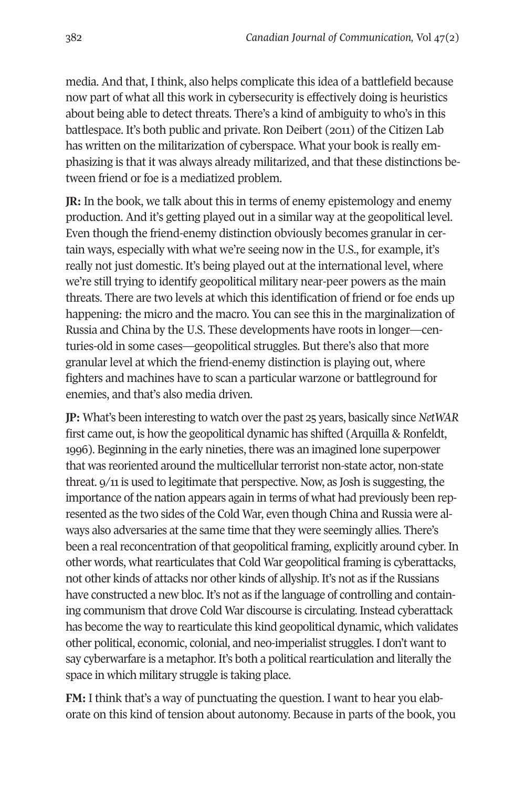media. And that, I think, also helps complicate this idea of a battlefield because now part of what all this work in cybersecurity is effectively doing is heuristics about being able to detect threats. There's a kind of ambiguity to who's in this battlespace. It's both public and private. Ron Deibert (2011) of the Citizen Lab has written on the militarization of cyberspace. What your book is really emphasizing is that it was always already militarized, and that these distinctions between friend or foe is a mediatized problem.

**JR:** In the book, we talk about this in terms of enemy epistemology and enemy production. And it's getting played out in a similar way at the geopolitical level. Even though the friend-enemy distinction obviously becomes granular in certain ways, especially with what we're seeing now in the U.S., for example, it's really not just domestic. It's being played out at the international level, where we're still trying to identify geopolitical military near-peer powers as the main threats. There are two levels at which this identification of friend or foe ends up happening: the micro and the macro. You can see this in the marginalization of Russia and China by the U.S. These developments have roots in longer—centuries-old in some cases—geopolitical struggles. But there's also that more granular level at which the friend-enemy distinction is playing out, where fighters and machines have to scan a particular warzone or battleground for enemies, and that's also media driven.

**JP:** What's been interesting to watch over the past 25 years, basically since *NetWAR*  first came out, is how the geopolitical dynamic has shifted (Arquilla & Ronfeldt, 1996). Beginning in the early nineties, there was an imagined lone superpower that was reoriented around the multicellular terrorist non-state actor, non-state threat. 9/11 is used to legitimate that perspective. Now, as Josh is suggesting, the importance of the nation appears again in terms of what had previously been represented as the two sides of the Cold War, even though China and Russia were always also adversaries at the same time that they were seemingly allies. There's been a real reconcentration of that geopolitical framing, explicitly around cyber. In other words, what rearticulates that Cold War geopolitical framing is cyberattacks, not other kinds of attacks nor other kinds of allyship. It's not as if the Russians have constructed a new bloc. It's not as if the language of controlling and containing communism that drove Cold War discourse is circulating. Instead cyberattack has become the way to rearticulate this kind geopolitical dynamic, which validates other political, economic, colonial, and neo-imperialist struggles. I don't want to say cyberwarfare is a metaphor. It's both a political rearticulation and literally the space in which military struggle is taking place.

**FM:** I think that's a way of punctuating the question. I want to hear you elaborate on this kind of tension about autonomy. Because in parts of the book, you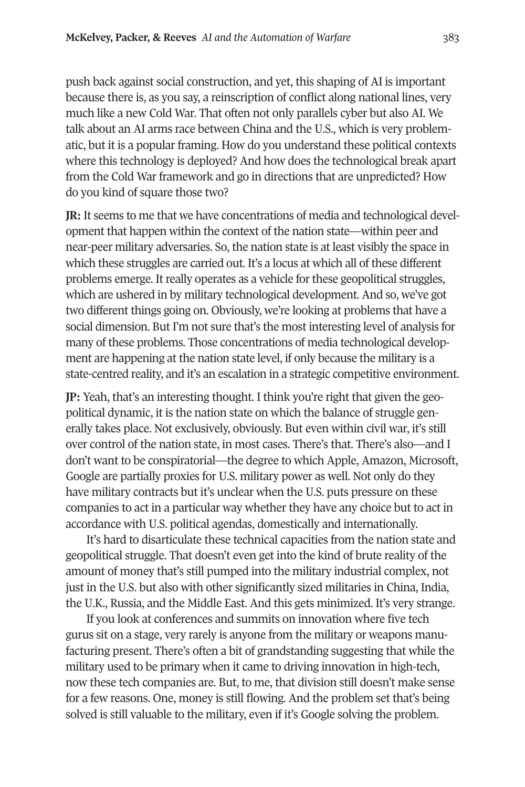push back against social construction, and yet, this shaping of AI is important because there is, as you say, a reinscription of conflict along national lines, very much like a new Cold War. That often not only parallels cyber but also AI. We talk about an AI arms race between China and the U.S., which is very problematic, but it is a popular framing. How do you understand these political contexts where this technology is deployed? And how does the technological break apart from the Cold War framework and go in directions that are unpredicted? How do you kind of square those two?

**JR:** It seems to me that we have concentrations of media and technological development that happen within the context of the nation state—within peer and near-peer military adversaries. So, the nation state is at least visibly the space in which these struggles are carried out. It's a locus at which all of these different problems emerge. It really operates as a vehicle for these geopolitical struggles, which are ushered in by military technological development. And so, we've got two different things going on. Obviously, we're looking at problems that have a social dimension. But I'm not sure that's the most interesting level of analysis for many of these problems. Those concentrations of media technological development are happening at the nation state level, if only because the military is a state-centred reality, and it's an escalation in a strategic competitive environment.

**JP:** Yeah, that's an interesting thought. I think you're right that given the geopolitical dynamic, it is the nation state on which the balance of struggle generally takes place. Not exclusively, obviously. But even within civil war, it's still over control of the nation state, in most cases. There's that. There's also—and I don't want to be conspiratorial—the degree to which Apple, Amazon, Microsoft, Google are partially proxies for U.S. military power as well. Not only do they have military contracts but it's unclear when the U.S. puts pressure on these companies to act in a particular way whether they have any choice but to act in accordance with U.S. political agendas, domestically and internationally.

It's hard to disarticulate these technical capacities from the nation state and geopolitical struggle. That doesn't even get into the kind of brute reality of the amount of money that's still pumped into the military industrial complex, not just in the U.S. but also with other significantly sized militaries in China, India, the U.K., Russia, and the Middle East. And this gets minimized. It's very strange.

If you look at conferences and summits on innovation where five tech gurus sit on a stage, very rarely is anyone from the military or weapons manufacturing present. There's often a bit of grandstanding suggesting that while the military used to be primary when it came to driving innovation in high-tech, now these tech companies are. But, to me, that division still doesn't make sense for a few reasons. One, money is still flowing. And the problem set that's being solved is still valuable to the military, even if it's Google solving the problem.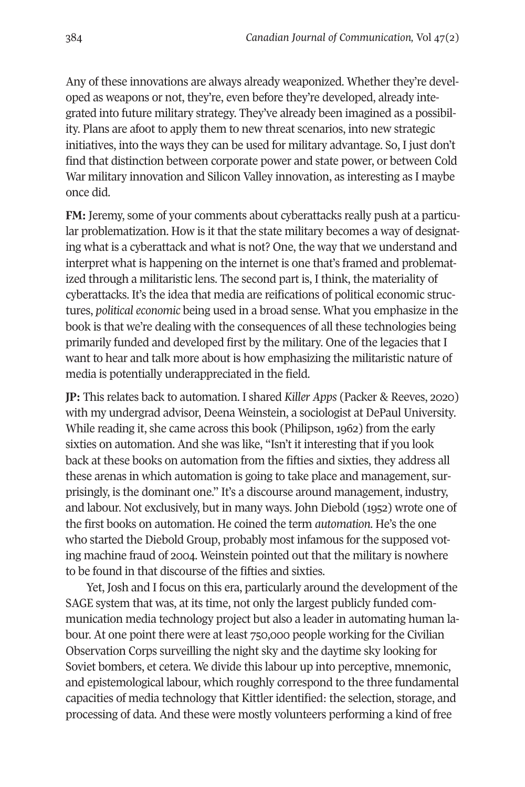Any of these innovations are always already weaponized. Whether they're developed as weapons or not, they're, even before they're developed, already integrated into future military strategy. They've already been imagined as a possibility. Plans are afoot to apply them to new threat scenarios, into new strategic initiatives, into the ways they can be used for military advantage. So, I just don't find that distinction between corporate power and state power, or between Cold War military innovation and Silicon Valley innovation, as interesting as I maybe once did.

**FM:** Jeremy, some of your comments about cyberattacks really push at a particular problematization. How is it that the state military becomes a way of designating what is a cyberattack and what is not? One, the way that we understand and interpret what is happening on the internet is one that's framed and problematized through a militaristic lens. The second part is, I think, the materiality of cyberattacks. It's the idea that media are reifications of political economic structures, *political economic* being used in a broad sense. What you emphasize in the book is that we're dealing with the consequences of all these technologies being primarily funded and developed first by the military. One of the legacies that I want to hear and talk more about is how emphasizing the militaristic nature of media is potentially underappreciated in the field.

**JP:** This relates back to automation. I shared *Killer Apps* (Packer & Reeves, 2020) with my undergrad advisor, Deena Weinstein, a sociologist at DePaul University. While reading it, she came across this book (Philipson, 1962) from the early sixties on automation. And she was like, "Isn't it interesting that if you look back at these books on automation from the fifties and sixties, they address all these arenas in which automation is going to take place and management, surprisingly, is the dominant one." It's a discourse around management, industry, and labour. Not exclusively, but in many ways. John Diebold (1952) wrote one of the first books on automation. He coined the term *automation*. He's the one who started the Diebold Group, probably most infamous for the supposed voting machine fraud of 2004. Weinstein pointed out that the military is nowhere to be found in that discourse of the fifties and sixties.

Yet, Josh and I focus on this era, particularly around the development of the SAGE system that was, at its time, not only the largest publicly funded communication media technology project but also a leader in automating human labour. At one point there were at least 750,000 people working for the Civilian Observation Corps surveilling the night sky and the daytime sky looking for Soviet bombers, et cetera. We divide this labour up into perceptive, mnemonic, and epistemological labour, which roughly correspond to the three fundamental capacities of media technology that Kittler identified: the selection, storage, and processing of data. And these were mostly volunteers performing a kind of free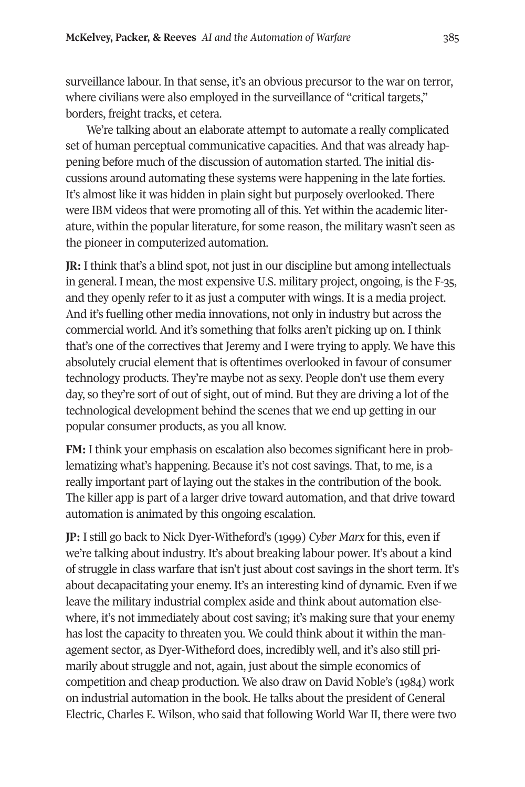surveillance labour. In that sense, it's an obvious precursor to the war on terror, where civilians were also employed in the surveillance of "critical targets," borders, freight tracks, et cetera.

We're talking about an elaborate attempt to automate a really complicated set of human perceptual communicative capacities. And that was already happening before much of the discussion of automation started. The initial discussions around automating these systems were happening in the late forties. It's almost like it was hidden in plain sight but purposely overlooked. There were IBM videos that were promoting all of this. Yet within the academic literature, within the popular literature, for some reason, the military wasn't seen as the pioneer in computerized automation.

**JR:** I think that's a blind spot, not just in our discipline but among intellectuals in general. I mean, the most expensive U.S. military project, ongoing, is the F-35, and they openly refer to it as just a computer with wings. It is a media project. And it's fuelling other media innovations, not only in industry but across the commercial world. And it's something that folks aren't picking up on. I think that's one of the correctives that Jeremy and I were trying to apply. We have this absolutely crucial element that is oftentimes overlooked in favour of consumer technology products. They're maybe not as sexy. People don't use them every day, so they're sort of out of sight, out of mind. But they are driving a lot of the technological development behind the scenes that we end up getting in our popular consumer products, as you all know.

**FM:** I think your emphasis on escalation also becomes significant here in problematizing what's happening. Because it's not cost savings. That, to me, is a really important part of laying out the stakes in the contribution of the book. The killer app is part of a larger drive toward automation, and that drive toward automation is animated by this ongoing escalation.

**JP:** I still go back to Nick Dyer-Witheford's (1999) *Cyber Marx* for this, even if we're talking about industry. It's about breaking labour power. It's about a kind of struggle in class warfare that isn't just about cost savings in the short term. It's about decapacitating your enemy. It's an interesting kind of dynamic. Even if we leave the military industrial complex aside and think about automation elsewhere, it's not immediately about cost saving; it's making sure that your enemy has lost the capacity to threaten you. We could think about it within the management sector, as Dyer-Witheford does, incredibly well, and it's also still primarily about struggle and not, again, just about the simple economics of competition and cheap production. We also draw on David Noble's (1984) work on industrial automation in the book. He talks about the president of General Electric, Charles E. Wilson, who said that following World War II, there were two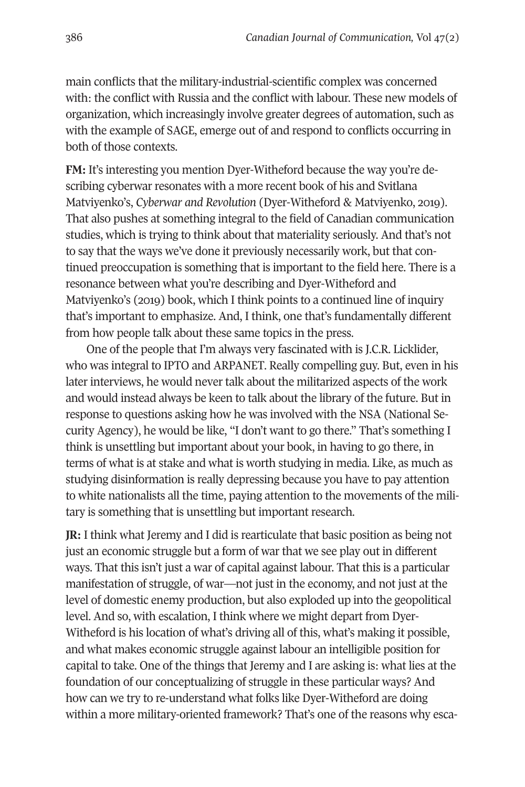main conflicts that the military-industrial-scientific complex was concerned with: the conflict with Russia and the conflict with labour. These new models of organization, which increasingly involve greater degrees of automation, such as with the example of SAGE, emerge out of and respond to conflicts occurring in both of those contexts.

**FM:** It's interesting you mention Dyer-Witheford because the way you're describing cyberwar resonates with a more recent book of his and Svitlana Matviyenko's, *Cyberwar and Revolution* (Dyer-Witheford & Matviyenko, 2019). That also pushes at something integral to the field of Canadian communication studies, which is trying to think about that materiality seriously. And that's not to say that the ways we've done it previously necessarily work, but that continued preoccupation is something that is important to the field here. There is a resonance between what you're describing and Dyer-Witheford and Matviyenko's (2019) book, which I think points to a continued line of inquiry that's important to emphasize. And, I think, one that's fundamentally different from how people talk about these same topics in the press.

One of the people that I'm always very fascinated with is J.C.R. Licklider, who was integral to IPTO and ARPANET. Really compelling guy. But, even in his later interviews, he would never talk about the militarized aspects of the work and would instead always be keen to talk about the library of the future. But in response to questions asking how he was involved with the NSA (National Security Agency), he would be like, "I don't want to go there." That's something I think is unsettling but important about your book, in having to go there, in terms of what is at stake and what is worth studying in media. Like, as much as studying disinformation is really depressing because you have to pay attention to white nationalists all the time, paying attention to the movements of the military is something that is unsettling but important research.

**JR:** I think what Jeremy and I did is rearticulate that basic position as being not just an economic struggle but a form of war that we see play out in different ways. That this isn't just a war of capital against labour. That this is a particular manifestation of struggle, of war—not just in the economy, and not just at the level of domestic enemy production, but also exploded up into the geopolitical level. And so, with escalation, I think where we might depart from Dyer-Witheford is his location of what's driving all of this, what's making it possible, and what makes economic struggle against labour an intelligible position for capital to take. One of the things that Jeremy and I are asking is: what lies at the foundation of our conceptualizing of struggle in these particular ways? And how can we try to re-understand what folks like Dyer-Witheford are doing within a more military-oriented framework? That's one of the reasons why esca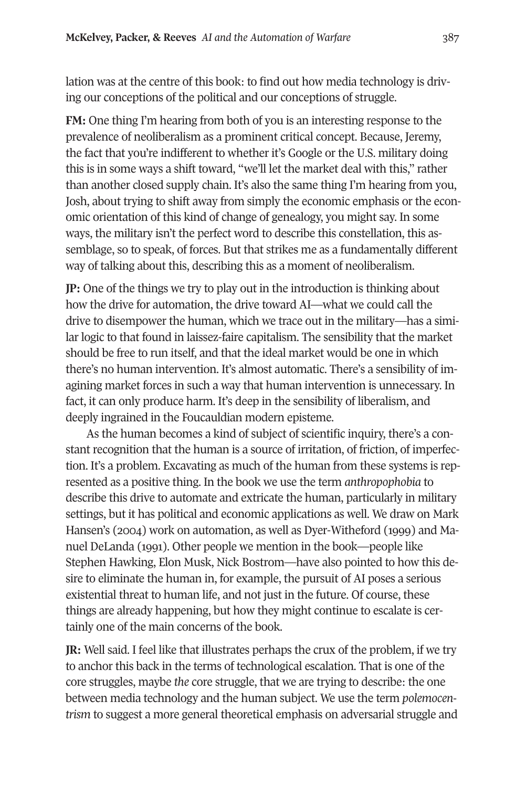lation was at the centre of this book: to find out how media technology is driving our conceptions of the political and our conceptions of struggle.

**FM:** One thing I'm hearing from both of you is an interesting response to the prevalence of neoliberalism as a prominent critical concept. Because, Jeremy, the fact that you're indifferent to whether it's Google or the U.S. military doing this is in some ways a shift toward, "we'll let the market deal with this," rather than another closed supply chain. It's also the same thing I'm hearing from you, Josh, about trying to shift away from simply the economic emphasis or the economic orientation of this kind of change of genealogy, you might say. In some ways, the military isn't the perfect word to describe this constellation, this assemblage, so to speak, of forces. But that strikes me as a fundamentally different way of talking about this, describing this as a moment of neoliberalism.

**JP:** One of the things we try to play out in the introduction is thinking about how the drive for automation, the drive toward AI—what we could call the drive to disempower the human, which we trace out in the military—has a similar logic to that found in laissez-faire capitalism. The sensibility that the market should be free to run itself, and that the ideal market would be one in which there's no human intervention. It's almost automatic. There's a sensibility of imagining market forces in such a way that human intervention is unnecessary. In fact, it can only produce harm. It's deep in the sensibility of liberalism, and deeply ingrained in the Foucauldian modern episteme.

As the human becomes a kind of subject of scientific inquiry, there's a constant recognition that the human is a source of irritation, of friction, of imperfection. It's a problem. Excavating as much of the human from these systems is represented as a positive thing. In the book we use the term *anthropophobia* to describe this drive to automate and extricate the human, particularly in military settings, but it has political and economic applications as well. We draw on Mark Hansen's (2004) work on automation, as well as Dyer-Witheford (1999) and Manuel DeLanda (1991). Other people we mention in the book—people like Stephen Hawking, Elon Musk, Nick Bostrom—have also pointed to how this desire to eliminate the human in, for example, the pursuit of AI poses a serious existential threat to human life, and not just in the future. Of course, these things are already happening, but how they might continue to escalate is certainly one of the main concerns of the book.

**JR:** Well said. I feel like that illustrates perhaps the crux of the problem, if we try to anchor this back in the terms of technological escalation. That is one of the core struggles, maybe *the* core struggle, that we are trying to describe: the one between media technology and the human subject. We use the term *polemocentrism* to suggest a more general theoretical emphasis on adversarial struggle and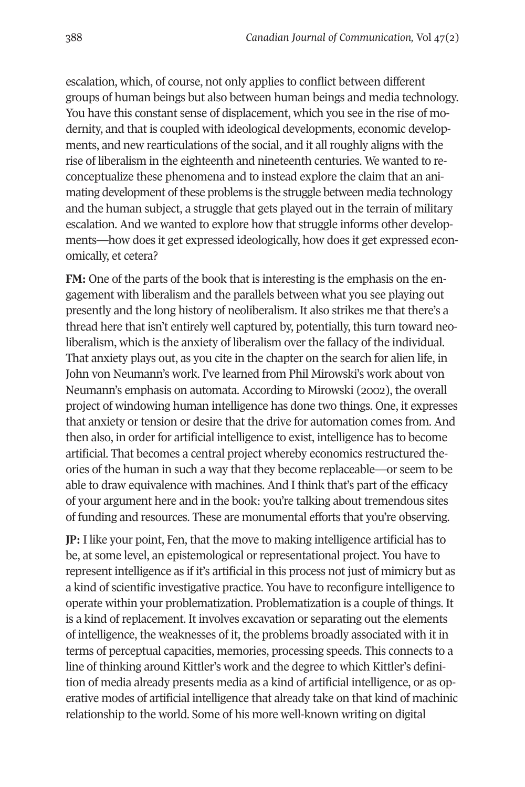escalation, which, of course, not only applies to conflict between different groups of human beings but also between human beings and media technology. You have this constant sense of displacement, which you see in the rise of modernity, and that is coupled with ideological developments, economic developments, and new rearticulations of the social, and it all roughly aligns with the rise of liberalism in the eighteenth and nineteenth centuries. We wanted to reconceptualize these phenomena and to instead explore the claim that an animating development of these problems is the struggle between media technology and the human subject, a struggle that gets played out in the terrain of military escalation. And we wanted to explore how that struggle informs other developments—how does it get expressed ideologically, how does it get expressed economically, et cetera?

**FM:** One of the parts of the book that is interesting is the emphasis on the engagement with liberalism and the parallels between what you see playing out presently and the long history of neoliberalism. It also strikes me that there's a thread here that isn't entirely well captured by, potentially, this turn toward neoliberalism, which is the anxiety of liberalism over the fallacy of the individual. That anxiety plays out, as you cite in the chapter on the search for alien life, in John von Neumann's work. I've learned from Phil Mirowski's work about von Neumann's emphasis on automata. According to Mirowski (2002), the overall project of windowing human intelligence has done two things. One, it expresses that anxiety or tension or desire that the drive for automation comes from. And then also, in order for artificial intelligence to exist, intelligence has to become artificial. That becomes a central project whereby economics restructured theories of the human in such a way that they become replaceable—or seem to be able to draw equivalence with machines. And I think that's part of the efficacy of your argument here and in the book: you're talking about tremendous sites of funding and resources. These are monumental efforts that you're observing.

**JP:** I like your point, Fen, that the move to making intelligence artificial has to be, at some level, an epistemological or representational project. You have to represent intelligence as if it's artificial in this process not just of mimicry but as a kind of scientific investigative practice. You have to reconfigure intelligence to operate within your problematization. Problematization is a couple of things. It is a kind of replacement. It involves excavation or separating out the elements of intelligence, the weaknesses of it, the problems broadly associated with it in terms of perceptual capacities, memories, processing speeds. This connects to a line of thinking around Kittler's work and the degree to which Kittler's definition of media already presents media as a kind of artificial intelligence, or as operative modes of artificial intelligence that already take on that kind of machinic relationship to the world. Some of his more well-known writing on digital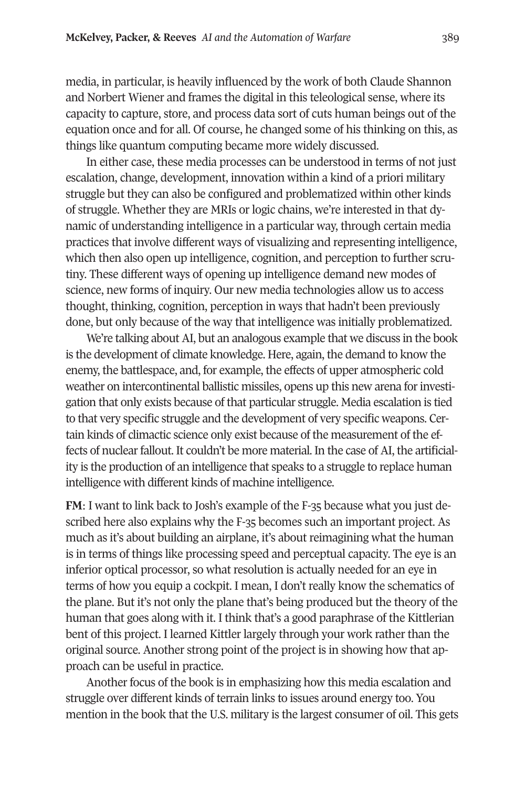media, in particular, is heavily influenced by the work of both Claude Shannon and Norbert Wiener and frames the digital in this teleological sense, where its capacity to capture, store, and process data sort of cuts human beings out of the equation once and for all. Of course, he changed some of his thinking on this, as things like quantum computing became more widely discussed.

In either case, these media processes can be understood in terms of not just escalation, change, development, innovation within a kind of a priori military struggle but they can also be configured and problematized within other kinds of struggle. Whether they are MRIs or logic chains, we're interested in that dynamic of understanding intelligence in a particular way, through certain media practices that involve different ways of visualizing and representing intelligence, which then also open up intelligence, cognition, and perception to further scrutiny. These different ways of opening up intelligence demand new modes of science, new forms of inquiry. Our new media technologies allow us to access thought, thinking, cognition, perception in ways that hadn't been previously done, but only because of the way that intelligence was initially problematized.

We're talking about AI, but an analogous example that we discuss in the book is the development of climate knowledge. Here, again, the demand to know the enemy, the battlespace, and, for example, the effects of upper atmospheric cold weather on intercontinental ballistic missiles, opens up this new arena for investigation that only exists because of that particular struggle. Media escalation is tied to that very specific struggle and the development of very specific weapons. Certain kinds of climactic science only exist because of the measurement of the effects of nuclear fallout. It couldn't be more material. In the case of AI, the artificiality is the production of an intelligence that speaks to a struggle to replace human intelligence with different kinds of machine intelligence.

**FM**: I want to link back to Josh's example of the F-35 because what you just described here also explains why the F-35 becomes such an important project. As much as it's about building an airplane, it's about reimagining what the human is in terms of things like processing speed and perceptual capacity. The eye is an inferior optical processor, so what resolution is actually needed for an eye in terms of how you equip a cockpit. I mean, I don't really know the schematics of the plane. But it's not only the plane that's being produced but the theory of the human that goes along with it. I think that's a good paraphrase of the Kittlerian bent of this project. I learned Kittler largely through your work rather than the original source. Another strong point of the project is in showing how that approach can be useful in practice.

Another focus of the book is in emphasizing how this media escalation and struggle over different kinds of terrain links to issues around energy too. You mention in the book that the U.S. military is the largest consumer of oil. This gets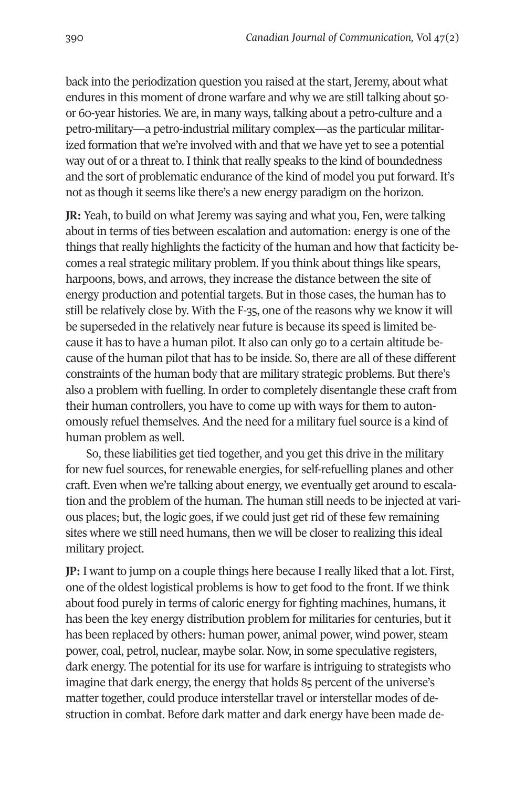back into the periodization question you raised at the start, Jeremy, about what endures in this moment of drone warfare and why we are still talking about 50 or 60-year histories. We are, in many ways, talking about a petro-culture and a petro-military—a petro-industrial military complex—as the particular militarized formation that we're involved with and that we have yet to see a potential way out of or a threat to. I think that really speaks to the kind of boundedness and the sort of problematic endurance of the kind of model you put forward. It's not as though it seems like there's a new energy paradigm on the horizon.

**JR:** Yeah, to build on what Jeremy was saying and what you, Fen, were talking about in terms of ties between escalation and automation: energy is one of the things that really highlights the facticity of the human and how that facticity becomes a real strategic military problem. If you think about things like spears, harpoons, bows, and arrows, they increase the distance between the site of energy production and potential targets. But in those cases, the human has to still be relatively close by. With the F-35, one of the reasons why we know it will be superseded in the relatively near future is because its speed is limited because it has to have a human pilot. It also can only go to a certain altitude because of the human pilot that has to be inside. So, there are all of these different constraints of the human body that are military strategic problems. But there's also a problem with fuelling. In order to completely disentangle these craft from their human controllers, you have to come up with ways for them to autonomously refuel themselves. And the need for a military fuel source is a kind of human problem as well.

So, these liabilities get tied together, and you get this drive in the military for new fuel sources, for renewable energies, for self-refuelling planes and other craft. Even when we're talking about energy, we eventually get around to escalation and the problem of the human. The human still needs to be injected at various places; but, the logic goes, if we could just get rid of these few remaining sites where we still need humans, then we will be closer to realizing this ideal military project.

**JP:** I want to jump on a couple things here because I really liked that a lot. First, one of the oldest logistical problems is how to get food to the front. If we think about food purely in terms of caloric energy for fighting machines, humans, it has been the key energy distribution problem for militaries for centuries, but it has been replaced by others: human power, animal power, wind power, steam power, coal, petrol, nuclear, maybe solar. Now, in some speculative registers, dark energy. The potential for its use for warfare is intriguing to strategists who imagine that dark energy, the energy that holds 85 percent of the universe's matter together, could produce interstellar travel or interstellar modes of destruction in combat. Before dark matter and dark energy have been made de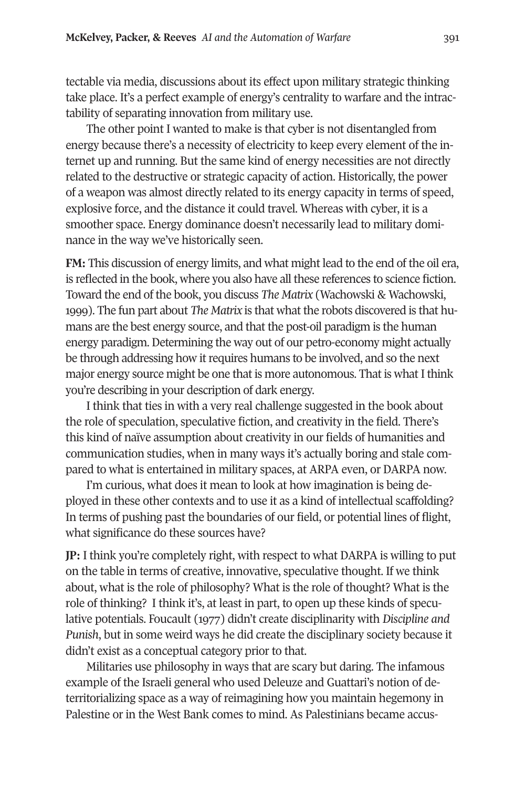tectable via media, discussions about its effect upon military strategic thinking take place. It's a perfect example of energy's centrality to warfare and the intractability of separating innovation from military use.

The other point I wanted to make is that cyber is not disentangled from energy because there's a necessity of electricity to keep every element of the internet up and running. But the same kind of energy necessities are not directly related to the destructive or strategic capacity of action. Historically, the power of a weapon was almost directly related to its energy capacity in terms of speed, explosive force, and the distance it could travel. Whereas with cyber, it is a smoother space. Energy dominance doesn't necessarily lead to military dominance in the way we've historically seen.

**FM:** This discussion of energy limits, and what might lead to the end of the oil era, is reflected in the book, where you also have all these references to science fiction. Toward the end of the book, you discuss *The Matrix* (Wachowski & Wachowski, 1999). The fun part about *The Matrix* is that what the robots discovered is that humans are the best energy source, and that the post-oil paradigm is the human energy paradigm. Determining the way out of our petro-economy might actually be through addressing how it requires humans to be involved, and so the next major energy source might be one that is more autonomous. That is what I think you're describing in your description of dark energy.

I think that ties in with a very real challenge suggested in the book about the role of speculation, speculative fiction, and creativity in the field. There's this kind of naïve assumption about creativity in our fields of humanities and communication studies, when in many ways it's actually boring and stale compared to what is entertained in military spaces, at ARPA even, or DARPA now.

I'm curious, what does it mean to look at how imagination is being deployed in these other contexts and to use it as a kind of intellectual scaffolding? In terms of pushing past the boundaries of our field, or potential lines of flight, what significance do these sources have?

**JP:** I think you're completely right, with respect to what DARPA is willing to put on the table in terms of creative, innovative, speculative thought. If we think about, what is the role of philosophy? What is the role of thought? What is the role of thinking? I think it's, at least in part, to open up these kinds of speculative potentials. Foucault (1977) didn't create disciplinarity with *Discipline and Punish*, but in some weird ways he did create the disciplinary society because it didn't exist as a conceptual category prior to that.

Militaries use philosophy in ways that are scary but daring. The infamous example of the Israeli general who used Deleuze and Guattari's notion of deterritorializing space as a way of reimagining how you maintain hegemony in Palestine or in the West Bank comes to mind. As Palestinians became accus-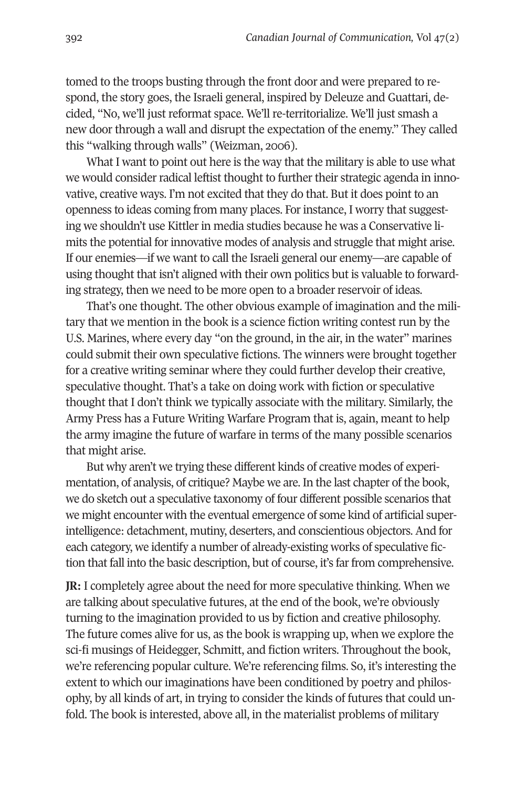tomed to the troops busting through the front door and were prepared to respond, the story goes, the Israeli general, inspired by Deleuze and Guattari, decided, "No, we'll just reformat space. We'll re-territorialize. We'll just smash a new door through a wall and disrupt the expectation of the enemy." They called this "walking through walls" (Weizman, 2006).

What I want to point out here is the way that the military is able to use what we would consider radical leftist thought to further their strategic agenda in innovative, creative ways. I'm not excited that they do that. But it does point to an openness to ideas coming from many places. For instance, I worry that suggesting we shouldn't use Kittler in media studies because he was a Conservative limits the potential for innovative modes of analysis and struggle that might arise. If our enemies—if we want to call the Israeli general our enemy—are capable of using thought that isn't aligned with their own politics but is valuable to forwarding strategy, then we need to be more open to a broader reservoir of ideas.

That's one thought. The other obvious example of imagination and the military that we mention in the book is a science fiction writing contest run by the U.S. Marines, where every day "on the ground, in the air, in the water" marines could submit their own speculative fictions. The winners were brought together for a creative writing seminar where they could further develop their creative, speculative thought. That's a take on doing work with fiction or speculative thought that I don't think we typically associate with the military. Similarly, the Army Press has a Future Writing Warfare Program that is, again, meant to help the army imagine the future of warfare in terms of the many possible scenarios that might arise.

But why aren't we trying these different kinds of creative modes of experimentation, of analysis, of critique? Maybe we are. In the last chapter of the book, we do sketch out a speculative taxonomy of four different possible scenarios that we might encounter with the eventual emergence of some kind of artificial superintelligence: detachment, mutiny, deserters, and conscientious objectors. And for each category, we identify a number of already-existing works of speculative fiction that fall into the basic description, but of course, it's far from comprehensive.

**JR:** I completely agree about the need for more speculative thinking. When we are talking about speculative futures, at the end of the book, we're obviously turning to the imagination provided to us by fiction and creative philosophy. The future comes alive for us, as the book is wrapping up, when we explore the sci-fi musings of Heidegger, Schmitt, and fiction writers. Throughout the book, we're referencing popular culture. We're referencing films. So, it's interesting the extent to which our imaginations have been conditioned by poetry and philosophy, by all kinds of art, in trying to consider the kinds of futures that could unfold. The book is interested, above all, in the materialist problems of military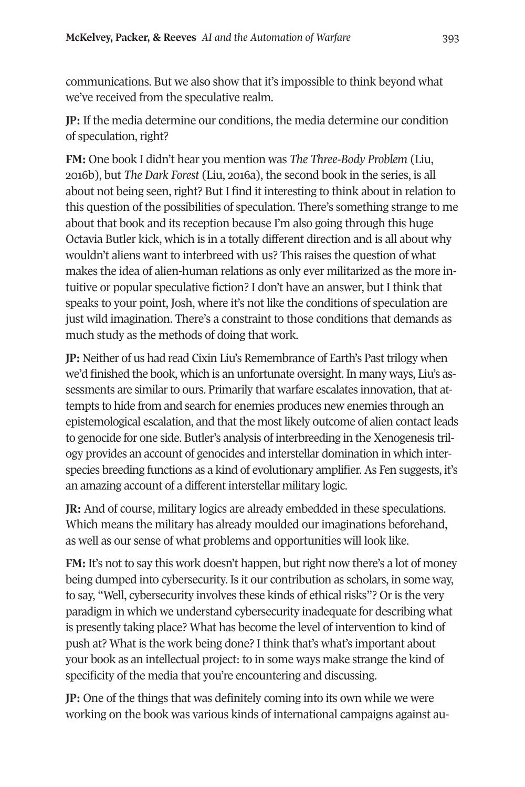communications. But we also show that it's impossible to think beyond what we've received from the speculative realm.

**JP:** If the media determine our conditions, the media determine our condition of speculation, right?

**FM:** One book I didn't hear you mention was *The Three-Body Problem* (Liu, 2016b), but *The Dark Forest* (Liu, 2016a), the second book in the series, is all about not being seen, right? But I find it interesting to think about in relation to this question of the possibilities of speculation. There's something strange to me about that book and its reception because I'm also going through this huge Octavia Butler kick, which is in a totally different direction and is all about why wouldn't aliens want to interbreed with us? This raises the question of what makes the idea of alien-human relations as only ever militarized as the more intuitive or popular speculative fiction? I don't have an answer, but I think that speaks to your point, Josh, where it's not like the conditions of speculation are just wild imagination. There's a constraint to those conditions that demands as much study as the methods of doing that work.

**JP:** Neither of us had read Cixin Liu's Remembrance of Earth's Past trilogy when we'd finished the book, which is an unfortunate oversight. In many ways, Liu's assessments are similar to ours. Primarily that warfare escalates innovation, that attempts to hide from and search for enemies produces new enemies through an epistemological escalation, and that the most likely outcome of alien contact leads to genocide for one side. Butler's analysis of interbreeding in the Xenogenesis trilogy provides an account of genocides and interstellar domination in which interspecies breeding functions as a kind of evolutionary amplifier. As Fen suggests, it's an amazing account of a different interstellar military logic.

**JR:** And of course, military logics are already embedded in these speculations. Which means the military has already moulded our imaginations beforehand, as well as our sense of what problems and opportunities will look like.

**FM:** It's not to say this work doesn't happen, but right now there's a lot of money being dumped into cybersecurity. Is it our contribution as scholars, in some way, to say, "Well, cybersecurity involves these kinds of ethical risks"? Or is the very paradigm in which we understand cybersecurity inadequate for describing what is presently taking place? What has become the level of intervention to kind of push at? What is the work being done? I think that's what's important about your book as an intellectual project: to in some ways make strange the kind of specificity of the media that you're encountering and discussing.

**JP:** One of the things that was definitely coming into its own while we were working on the book was various kinds of international campaigns against au-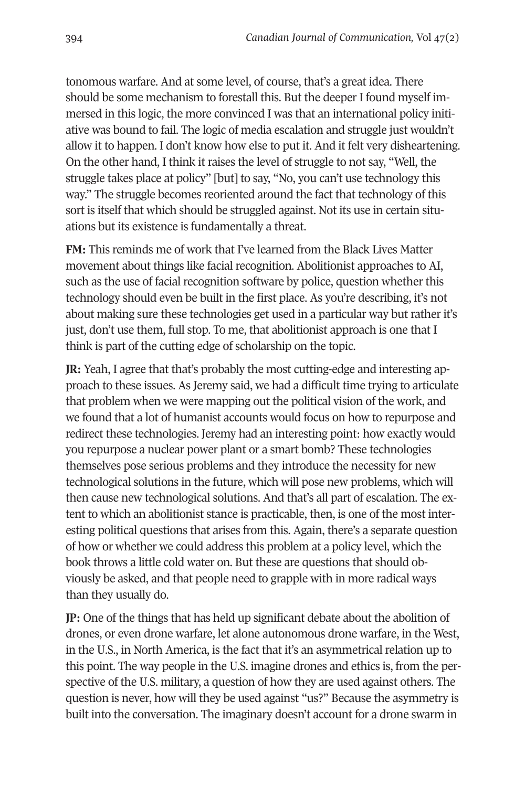tonomous warfare. And at some level, of course, that's a great idea. There should be some mechanism to forestall this. But the deeper I found myself immersed in this logic, the more convinced I was that an international policy initiative was bound to fail. The logic of media escalation and struggle just wouldn't allow it to happen. I don't know how else to put it. And it felt very disheartening. On the other hand, I think it raises the level of struggle to not say, "Well, the struggle takes place at policy" [but] to say, "No, you can't use technology this way." The struggle becomes reoriented around the fact that technology of this sort is itself that which should be struggled against. Not its use in certain situations but its existence is fundamentally a threat.

**FM:** This reminds me of work that I've learned from the Black Lives Matter movement about things like facial recognition. Abolitionist approaches to AI, such as the use of facial recognition software by police, question whether this technology should even be built in the first place. As you're describing, it's not about making sure these technologies get used in a particular way but rather it's just, don't use them, full stop. To me, that abolitionist approach is one that I think is part of the cutting edge of scholarship on the topic.

**JR:** Yeah, I agree that that's probably the most cutting-edge and interesting approach to these issues. As Jeremy said, we had a difficult time trying to articulate that problem when we were mapping out the political vision of the work, and we found that a lot of humanist accounts would focus on how to repurpose and redirect these technologies. Jeremy had an interesting point: how exactly would you repurpose a nuclear power plant or a smart bomb? These technologies themselves pose serious problems and they introduce the necessity for new technological solutions in the future, which will pose new problems, which will then cause new technological solutions. And that's all part of escalation. The extent to which an abolitionist stance is practicable, then, is one of the most interesting political questions that arises from this. Again, there's a separate question of how or whether we could address this problem at a policy level, which the book throws a little cold water on. But these are questions that should obviously be asked, and that people need to grapple with in more radical ways than they usually do.

**JP:** One of the things that has held up significant debate about the abolition of drones, or even drone warfare, let alone autonomous drone warfare, in the West, in the U.S., in North America, is the fact that it's an asymmetrical relation up to this point. The way people in the U.S. imagine drones and ethics is, from the perspective of the U.S. military, a question of how they are used against others. The question is never, how will they be used against "us?" Because the asymmetry is built into the conversation. The imaginary doesn't account for a drone swarm in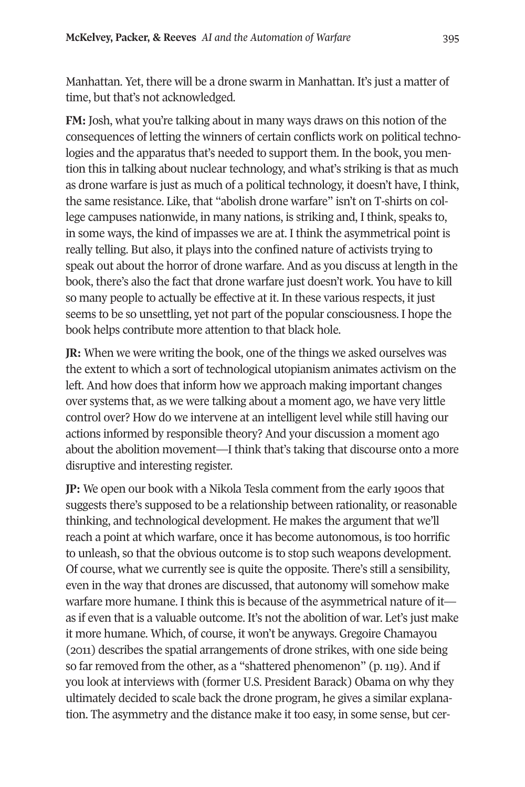Manhattan. Yet, there will be a drone swarm in Manhattan. It's just a matter of time, but that's not acknowledged.

**FM:** Josh, what you're talking about in many ways draws on this notion of the consequences of letting the winners of certain conflicts work on political technologies and the apparatus that's needed to support them. In the book, you mention this in talking about nuclear technology, and what's striking is that as much as drone warfare is just as much of a political technology, it doesn't have, I think, the same resistance. Like, that "abolish drone warfare" isn't on T-shirts on college campuses nationwide, in many nations, is striking and, I think, speaks to, in some ways, the kind of impasses we are at. I think the asymmetrical point is really telling. But also, it plays into the confined nature of activists trying to speak out about the horror of drone warfare. And as you discuss at length in the book, there's also the fact that drone warfare just doesn't work. You have to kill so many people to actually be effective at it. In these various respects, it just seems to be so unsettling, yet not part of the popular consciousness. I hope the book helps contribute more attention to that black hole.

**JR:** When we were writing the book, one of the things we asked ourselves was the extent to which a sort of technological utopianism animates activism on the left. And how does that inform how we approach making important changes over systems that, as we were talking about a moment ago, we have very little control over? How do we intervene at an intelligent level while still having our actions informed by responsible theory? And your discussion a moment ago about the abolition movement—I think that's taking that discourse onto a more disruptive and interesting register.

**JP:** We open our book with a Nikola Tesla comment from the early 1900s that suggests there's supposed to be a relationship between rationality, or reasonable thinking, and technological development. He makes the argument that we'll reach a point at which warfare, once it has become autonomous, is too horrific to unleash, so that the obvious outcome is to stop such weapons development. Of course, what we currently see is quite the opposite. There's still a sensibility, even in the way that drones are discussed, that autonomy will somehow make warfare more humane. I think this is because of the asymmetrical nature of it as if even that is a valuable outcome. It's not the abolition of war. Let's just make it more humane. Which, of course, it won't be anyways. Gregoire Chamayou (2011) describes the spatial arrangements of drone strikes, with one side being so far removed from the other, as a "shattered phenomenon" (p. 119). And if you look at interviews with (former U.S. President Barack) Obama on why they ultimately decided to scale back the drone program, he gives a similar explanation. The asymmetry and the distance make it too easy, in some sense, but cer-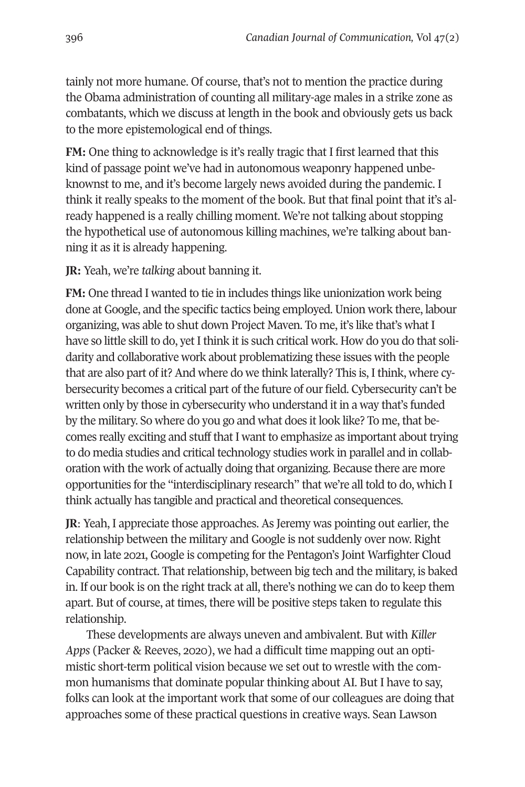tainly not more humane. Of course, that's not to mention the practice during the Obama administration of counting all military-age males in a strike zone as combatants, which we discuss at length in the book and obviously gets us back to the more epistemological end of things.

**FM:** One thing to acknowledge is it's really tragic that I first learned that this kind of passage point we've had in autonomous weaponry happened unbeknownst to me, and it's become largely news avoided during the pandemic. I think it really speaks to the moment of the book. But that final point that it's already happened is a really chilling moment. We're not talking about stopping the hypothetical use of autonomous killing machines, we're talking about banning it as it is already happening.

#### **JR:** Yeah, we're *talking* about banning it.

**FM:** One thread I wanted to tie in includes things like unionization work being done at Google, and the specific tactics being employed. Union work there, labour organizing, was able to shut down Project Maven. To me, it's like that's what I have so little skill to do, yet I think it is such critical work. How do you do that solidarity and collaborative work about problematizing these issues with the people that are also part of it? And where do we think laterally? This is, I think, where cybersecurity becomes a critical part of the future of our field. Cybersecurity can't be written only by those in cybersecurity who understand it in a way that's funded by the military. So where do you go and what does it look like? To me, that becomes really exciting and stuff that I want to emphasize as important about trying to do media studies and critical technology studies work in parallel and in collaboration with the work of actually doing that organizing. Because there are more opportunities for the "interdisciplinary research" that we're all told to do, which I think actually has tangible and practical and theoretical consequences.

**JR**: Yeah, I appreciate those approaches. As Jeremy was pointing out earlier, the relationship between the military and Google is not suddenly over now. Right now, in late 2021, Google is competing for the Pentagon's Joint Warfighter Cloud Capability contract. That relationship, between big tech and the military, is baked in. If our book is on the right track at all, there's nothing we can do to keep them apart. But of course, at times, there will be positive steps taken to regulate this relationship.

These developments are always uneven and ambivalent. But with *Killer Apps* (Packer & Reeves, 2020), we had a difficult time mapping out an optimistic short-term political vision because we set out to wrestle with the common humanisms that dominate popular thinking about AI. But I have to say, folks can look at the important work that some of our colleagues are doing that approaches some of these practical questions in creative ways. Sean Lawson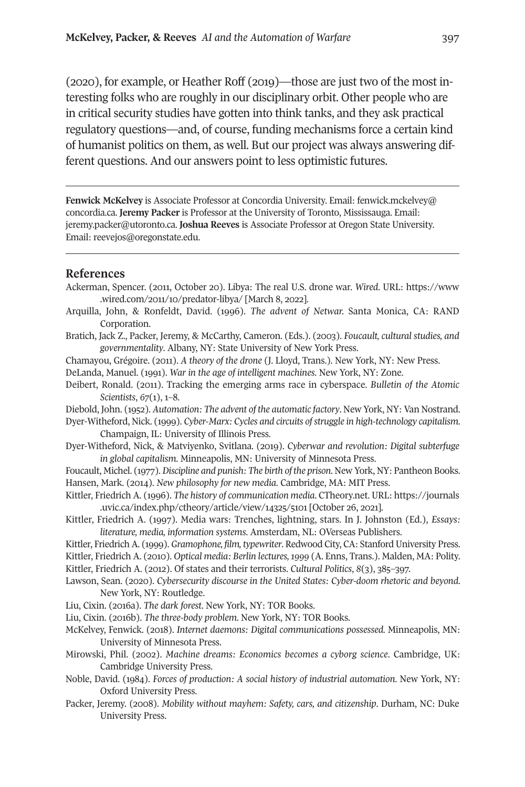**[McKelvey, P](mailto:fenwick.mckelvey@concordia.ca)acker, & Reeves** *AI and the Automation of Warfare* 397

(2020), for example, or Heather Roff (2019)—those are just two of the most interesting folks who are roughly in our disciplinary orbit. Other people who are in critical security studies have gotten into think tanks, and they ask [practical](https://www.wired.com/2011/10/predator-libya/)  regula[tory questions—and, of course](https://www.wired.com/2011/10/predator-libya/), funding mechanisms force a certain kind of humanist politics on them, as well. But our project was always answering different questions. And our answers point to less optimistic futures.

**Fenwick McKelvey** is Associate Professor at Concordia University. Email: fenwick.mckelvey@ concordia.ca. **Jeremy Packer** is Professor at the University of Toronto, Mississauga. Email: jeremy.packer@utoronto.ca. **Joshua Reeves** is Associate Professor at Oregon State University. Email: reevejos@oregonstate.edu.

#### **References**

- Ackerman, Spencer. (2011, October 20). Libya: The real U.S. drone war. *Wired*. URL: https://www .wired.com/2011/10/predator-libya/ [March 8, 2022].
- Arquilla, John, & Ronfeldt, David. (1996). *The advent of Netwar.* Santa Mo[nica, CA: RAND](https://journals.uvic.ca/index.php/ctheory/article/view/14325/5101)  Corporation.
- Bratich, [Jack Z., Packer, Jeremy, & McCarthy, Cameron. \(Eds.\)](https://journals.uvic.ca/index.php/ctheory/article/view/14325/5101). (2003). *Foucault, cultural studies, and governmentality*. Albany, NY: State University of New York Press.
- Chamayou, Grégoire. (2011). *A theory of the drone* (J. Lloyd, Trans.). New York, NY: New Press.
- DeLanda, Manuel. (1991). *War in the age of intelligent machines*. New York, NY: Zone.
- Deibert, Ronald. (2011). Tracking the emerging arms race in cyberspace. *Bulletin of the Atomic Scientists*, *67*(1), 1–8.

Diebold, John. (1952). *Automation: The advent of the automatic factory*. New York, NY: Van Nostrand.

- Dyer-Witheford, Nick. (1999). *Cyber-Marx: Cycles and circuits of struggle in high-technology capitalism*. Champaign, IL: University of Illinois Press.
- Dyer-Witheford, Nick, & Matviyenko, Svitlana. (2019). *Cyberwar and revolution: Digital subterfuge in global capitalism*. Minneapolis, MN: University of Minnesota Press.

Foucault, Michel. (1977). *Discipline and punish: The birth of the prison*. New York, NY: Pantheon Books. Hansen, Mark. (2014). *New philosophy for new media*. Cambridge, MA: MIT Press.

- Kittler, Friedrich A. (1996). *The history of communication media*. CTheory.net. URL: https://journals .uvic.ca/index.php/ctheory/article/view/14325/5101 [October 26, 2021].
- Kittler, Friedrich A. (1997). Media wars: Trenches, lightning, stars. In J. Johnston (Ed.), *Essays: literature, media, information systems*. Amsterdam, NL: OVerseas Publishers.

Kittler, Friedrich A. (1999). *Gramophone, film, typewriter*. Redwood City, CA: Stanford University Press.

Kittler, Friedrich A. (2010). *Optical media: Berlin lectures, 1999* (A. Enns, Trans.). Malden, MA: Polity.

Kittler, Friedrich A. (2012). Of states and their terrorists. *Cultural Politics*, *8*(3), 385–397.

Lawson, Sean. (2020). *Cybersecurity discourse in the United States: Cyber-doom rhetoric and beyond*. New York, NY: Routledge.

Liu, Cixin. (2016a). *The dark forest*. New York, NY: TOR Books.

Liu, Cixin. (2016b). *The three-body problem*. New York, NY: TOR Books.

- McKelvey, Fenwick. (2018). *Internet daemons: Digital communications possessed.* Minneapolis, MN: University of Minnesota Press.
- Mirowski, Phil. (2002). *Machine dreams: Economics becomes a cyborg science*. Cambridge, UK: Cambridge University Press.
- Noble, David. (1984). *Forces of production: A social history of industrial automation*. New York, NY: Oxford University Press.
- Packer, Jeremy. (2008). *Mobility without mayhem: Safety, cars, and citizenship*. Durham, NC: Duke University Press.